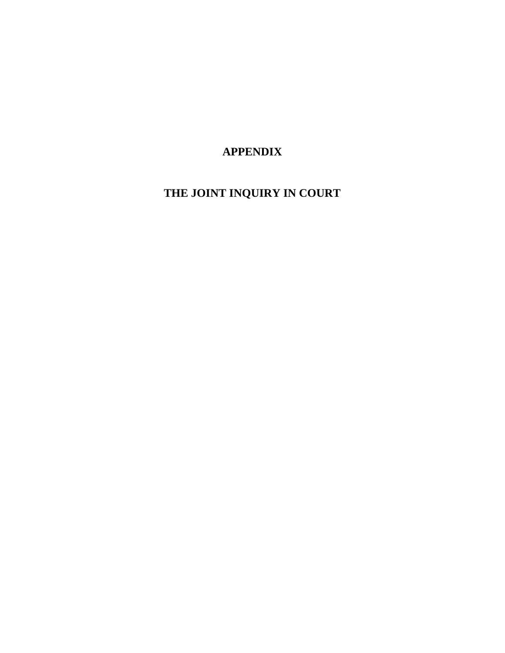**APPENDIX**

**THE JOINT INQUIRY IN COURT**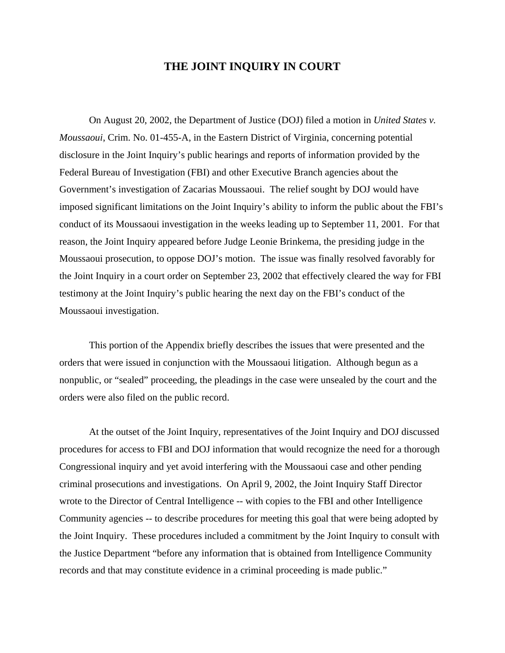# **THE JOINT INQUIRY IN COURT**

On August 20, 2002, the Department of Justice (DOJ) filed a motion in *United States v. Moussaoui*, Crim. No. 01-455-A, in the Eastern District of Virginia, concerning potential disclosure in the Joint Inquiry's public hearings and reports of information provided by the Federal Bureau of Investigation (FBI) and other Executive Branch agencies about the Government's investigation of Zacarias Moussaoui. The relief sought by DOJ would have imposed significant limitations on the Joint Inquiry's ability to inform the public about the FBI's conduct of its Moussaoui investigation in the weeks leading up to September 11, 2001. For that reason, the Joint Inquiry appeared before Judge Leonie Brinkema, the presiding judge in the Moussaoui prosecution, to oppose DOJ's motion. The issue was finally resolved favorably for the Joint Inquiry in a court order on September 23, 2002 that effectively cleared the way for FBI testimony at the Joint Inquiry's public hearing the next day on the FBI's conduct of the Moussaoui investigation.

This portion of the Appendix briefly describes the issues that were presented and the orders that were issued in conjunction with the Moussaoui litigation. Although begun as a nonpublic, or "sealed" proceeding, the pleadings in the case were unsealed by the court and the orders were also filed on the public record.

At the outset of the Joint Inquiry, representatives of the Joint Inquiry and DOJ discussed procedures for access to FBI and DOJ information that would recognize the need for a thorough Congressional inquiry and yet avoid interfering with the Moussaoui case and other pending criminal prosecutions and investigations. On April 9, 2002, the Joint Inquiry Staff Director wrote to the Director of Central Intelligence -- with copies to the FBI and other Intelligence Community agencies -- to describe procedures for meeting this goal that were being adopted by the Joint Inquiry. These procedures included a commitment by the Joint Inquiry to consult with the Justice Department "before any information that is obtained from Intelligence Community records and that may constitute evidence in a criminal proceeding is made public."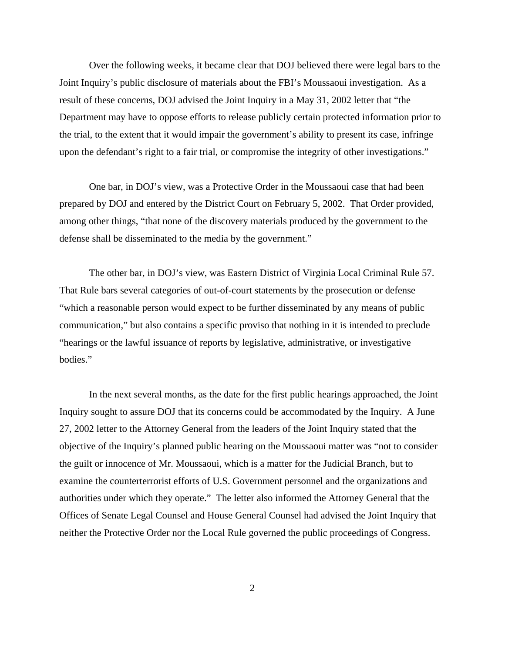Over the following weeks, it became clear that DOJ believed there were legal bars to the Joint Inquiry's public disclosure of materials about the FBI's Moussaoui investigation. As a result of these concerns, DOJ advised the Joint Inquiry in a May 31, 2002 letter that "the Department may have to oppose efforts to release publicly certain protected information prior to the trial, to the extent that it would impair the government's ability to present its case, infringe upon the defendant's right to a fair trial, or compromise the integrity of other investigations."

One bar, in DOJ's view, was a Protective Order in the Moussaoui case that had been prepared by DOJ and entered by the District Court on February 5, 2002. That Order provided, among other things, "that none of the discovery materials produced by the government to the defense shall be disseminated to the media by the government."

The other bar, in DOJ's view, was Eastern District of Virginia Local Criminal Rule 57. That Rule bars several categories of out-of-court statements by the prosecution or defense "which a reasonable person would expect to be further disseminated by any means of public communication," but also contains a specific proviso that nothing in it is intended to preclude "hearings or the lawful issuance of reports by legislative, administrative, or investigative bodies."

In the next several months, as the date for the first public hearings approached, the Joint Inquiry sought to assure DOJ that its concerns could be accommodated by the Inquiry. A June 27, 2002 letter to the Attorney General from the leaders of the Joint Inquiry stated that the objective of the Inquiry's planned public hearing on the Moussaoui matter was "not to consider the guilt or innocence of Mr. Moussaoui, which is a matter for the Judicial Branch, but to examine the counterterrorist efforts of U.S. Government personnel and the organizations and authorities under which they operate." The letter also informed the Attorney General that the Offices of Senate Legal Counsel and House General Counsel had advised the Joint Inquiry that neither the Protective Order nor the Local Rule governed the public proceedings of Congress.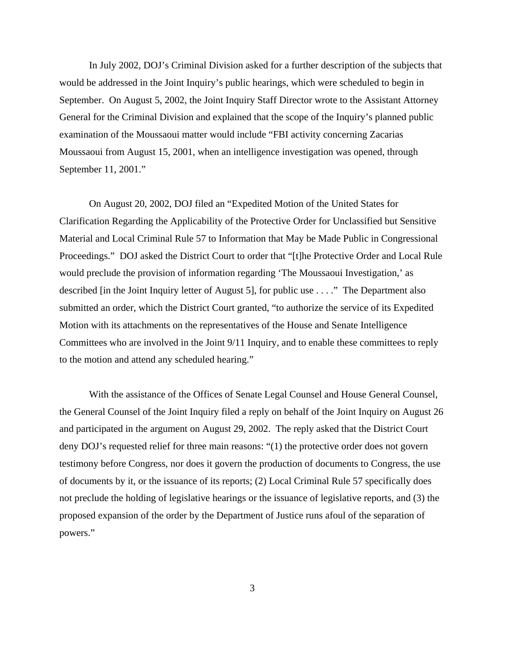In July 2002, DOJ's Criminal Division asked for a further description of the subjects that would be addressed in the Joint Inquiry's public hearings, which were scheduled to begin in September. On August 5, 2002, the Joint Inquiry Staff Director wrote to the Assistant Attorney General for the Criminal Division and explained that the scope of the Inquiry's planned public examination of the Moussaoui matter would include "FBI activity concerning Zacarias Moussaoui from August 15, 2001, when an intelligence investigation was opened, through September 11, 2001."

On August 20, 2002, DOJ filed an "Expedited Motion of the United States for Clarification Regarding the Applicability of the Protective Order for Unclassified but Sensitive Material and Local Criminal Rule 57 to Information that May be Made Public in Congressional Proceedings." DOJ asked the District Court to order that "[t]he Protective Order and Local Rule would preclude the provision of information regarding 'The Moussaoui Investigation,' as described [in the Joint Inquiry letter of August 5], for public use . . . ." The Department also submitted an order, which the District Court granted, "to authorize the service of its Expedited Motion with its attachments on the representatives of the House and Senate Intelligence Committees who are involved in the Joint 9/11 Inquiry, and to enable these committees to reply to the motion and attend any scheduled hearing."

With the assistance of the Offices of Senate Legal Counsel and House General Counsel, the General Counsel of the Joint Inquiry filed a reply on behalf of the Joint Inquiry on August 26 and participated in the argument on August 29, 2002. The reply asked that the District Court deny DOJ's requested relief for three main reasons: "(1) the protective order does not govern testimony before Congress, nor does it govern the production of documents to Congress, the use of documents by it, or the issuance of its reports; (2) Local Criminal Rule 57 specifically does not preclude the holding of legislative hearings or the issuance of legislative reports, and (3) the proposed expansion of the order by the Department of Justice runs afoul of the separation of powers."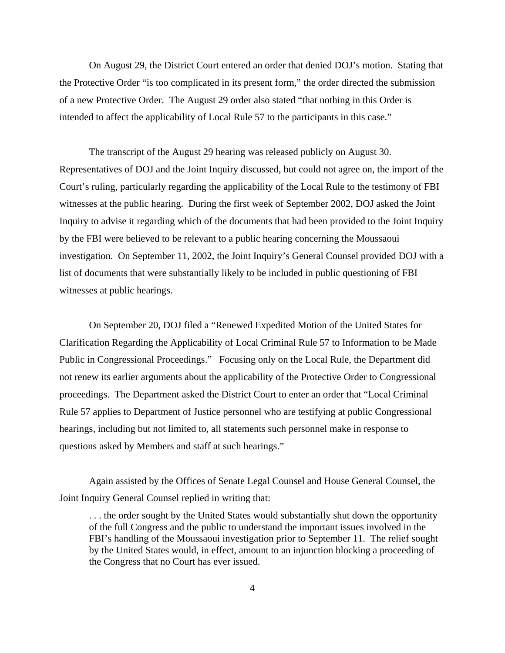On August 29, the District Court entered an order that denied DOJ's motion. Stating that the Protective Order "is too complicated in its present form," the order directed the submission of a new Protective Order. The August 29 order also stated "that nothing in this Order is intended to affect the applicability of Local Rule 57 to the participants in this case."

The transcript of the August 29 hearing was released publicly on August 30. Representatives of DOJ and the Joint Inquiry discussed, but could not agree on, the import of the Court's ruling, particularly regarding the applicability of the Local Rule to the testimony of FBI witnesses at the public hearing. During the first week of September 2002, DOJ asked the Joint Inquiry to advise it regarding which of the documents that had been provided to the Joint Inquiry by the FBI were believed to be relevant to a public hearing concerning the Moussaoui investigation. On September 11, 2002, the Joint Inquiry's General Counsel provided DOJ with a list of documents that were substantially likely to be included in public questioning of FBI witnesses at public hearings.

On September 20, DOJ filed a "Renewed Expedited Motion of the United States for Clarification Regarding the Applicability of Local Criminal Rule 57 to Information to be Made Public in Congressional Proceedings." Focusing only on the Local Rule, the Department did not renew its earlier arguments about the applicability of the Protective Order to Congressional proceedings. The Department asked the District Court to enter an order that "Local Criminal Rule 57 applies to Department of Justice personnel who are testifying at public Congressional hearings, including but not limited to, all statements such personnel make in response to questions asked by Members and staff at such hearings."

Again assisted by the Offices of Senate Legal Counsel and House General Counsel, the Joint Inquiry General Counsel replied in writing that:

. . . the order sought by the United States would substantially shut down the opportunity of the full Congress and the public to understand the important issues involved in the FBI's handling of the Moussaoui investigation prior to September 11. The relief sought by the United States would, in effect, amount to an injunction blocking a proceeding of the Congress that no Court has ever issued.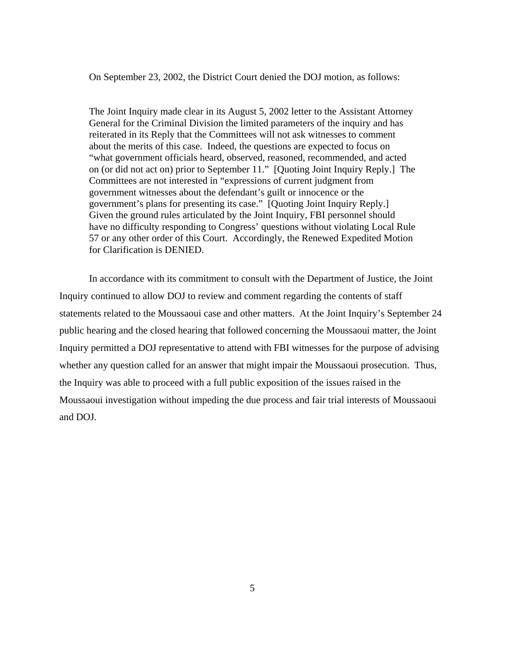On September 23, 2002, the District Court denied the DOJ motion, as follows:

The Joint Inquiry made clear in its August 5, 2002 letter to the Assistant Attorney General for the Criminal Division the limited parameters of the inquiry and has reiterated in its Reply that the Committees will not ask witnesses to comment about the merits of this case. Indeed, the questions are expected to focus on "what government officials heard, observed, reasoned, recommended, and acted on (or did not act on) prior to September 11." [Quoting Joint Inquiry Reply.] The Committees are not interested in "expressions of current judgment from government witnesses about the defendant's guilt or innocence or the government's plans for presenting its case." [Quoting Joint Inquiry Reply.] Given the ground rules articulated by the Joint Inquiry, FBI personnel should have no difficulty responding to Congress' questions without violating Local Rule 57 or any other order of this Court. Accordingly, the Renewed Expedited Motion for Clarification is DENIED.

In accordance with its commitment to consult with the Department of Justice, the Joint Inquiry continued to allow DOJ to review and comment regarding the contents of staff statements related to the Moussaoui case and other matters. At the Joint Inquiry's September 24 public hearing and the closed hearing that followed concerning the Moussaoui matter, the Joint Inquiry permitted a DOJ representative to attend with FBI witnesses for the purpose of advising whether any question called for an answer that might impair the Moussaoui prosecution. Thus, the Inquiry was able to proceed with a full public exposition of the issues raised in the Moussaoui investigation without impeding the due process and fair trial interests of Moussaoui and DOJ.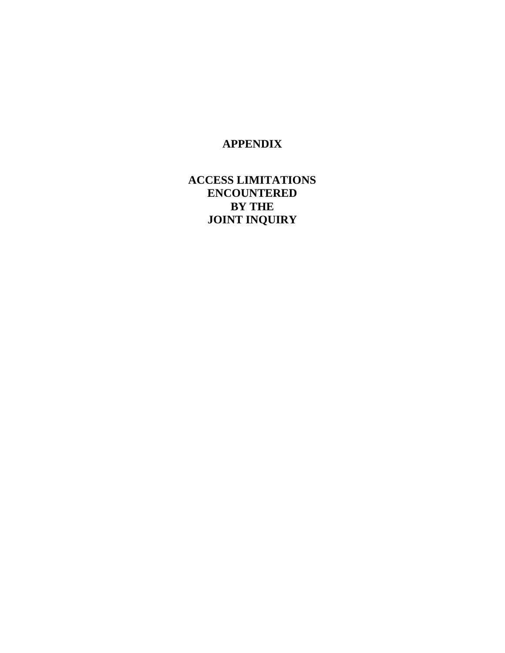# **APPENDIX**

# **ACCESS LIMITATIONS ENCOUNTERED BY THE JOINT INQUIRY**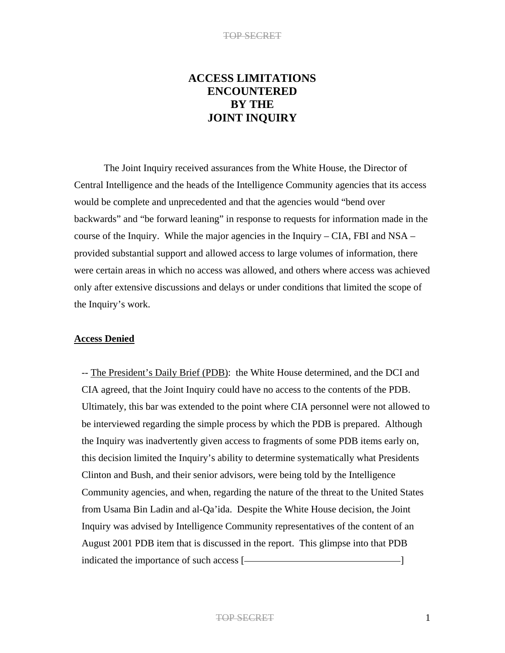# **ACCESS LIMITATIONS ENCOUNTERED BY THE JOINT INQUIRY**

 The Joint Inquiry received assurances from the White House, the Director of Central Intelligence and the heads of the Intelligence Community agencies that its access would be complete and unprecedented and that the agencies would "bend over backwards" and "be forward leaning" in response to requests for information made in the course of the Inquiry. While the major agencies in the Inquiry – CIA, FBI and NSA – provided substantial support and allowed access to large volumes of information, there were certain areas in which no access was allowed, and others where access was achieved only after extensive discussions and delays or under conditions that limited the scope of the Inquiry's work.

#### **Access Denied**

-- The President's Daily Brief (PDB): the White House determined, and the DCI and CIA agreed, that the Joint Inquiry could have no access to the contents of the PDB. Ultimately, this bar was extended to the point where CIA personnel were not allowed to be interviewed regarding the simple process by which the PDB is prepared. Although the Inquiry was inadvertently given access to fragments of some PDB items early on, this decision limited the Inquiry's ability to determine systematically what Presidents Clinton and Bush, and their senior advisors, were being told by the Intelligence Community agencies, and when, regarding the nature of the threat to the United States from Usama Bin Ladin and al-Qa'ida. Despite the White House decision, the Joint Inquiry was advised by Intelligence Community representatives of the content of an August 2001 PDB item that is discussed in the report. This glimpse into that PDB indicated the importance of such access [ $\qquad \qquad \qquad$  ]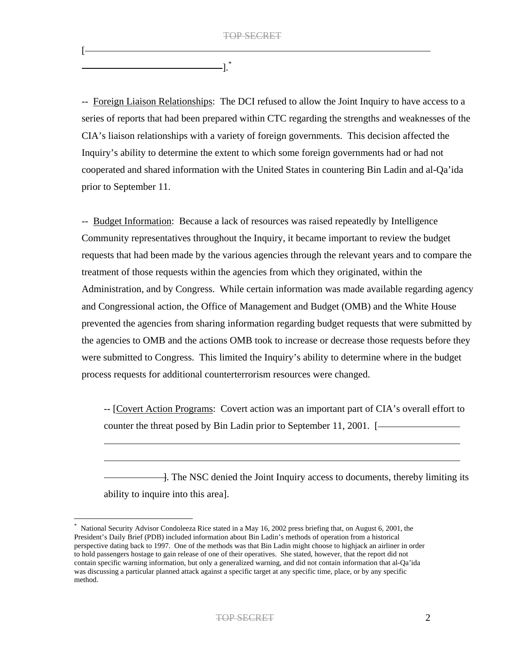$].$ 

[

-- Foreign Liaison Relationships: The DCI refused to allow the Joint Inquiry to have access to a series of reports that had been prepared within CTC regarding the strengths and weaknesses of the CIA's liaison relationships with a variety of foreign governments. This decision affected the Inquiry's ability to determine the extent to which some foreign governments had or had not cooperated and shared information with the United States in countering Bin Ladin and al-Qa'ida prior to September 11.

-- Budget Information: Because a lack of resources was raised repeatedly by Intelligence Community representatives throughout the Inquiry, it became important to review the budget requests that had been made by the various agencies through the relevant years and to compare the treatment of those requests within the agencies from which they originated, within the Administration, and by Congress. While certain information was made available regarding agency and Congressional action, the Office of Management and Budget (OMB) and the White House prevented the agencies from sharing information regarding budget requests that were submitted by the agencies to OMB and the actions OMB took to increase or decrease those requests before they were submitted to Congress. This limited the Inquiry's ability to determine where in the budget process requests for additional counterterrorism resources were changed.

-- [Covert Action Programs: Covert action was an important part of CIA's overall effort to counter the threat posed by Bin Ladin prior to September 11, 2001. [

]. The NSC denied the Joint Inquiry access to documents, thereby limiting its ability to inquire into this area].

National Security Advisor Condoleeza Rice stated in a May 16, 2002 press briefing that, on August 6, 2001, the President's Daily Brief (PDB) included information about Bin Ladin's methods of operation from a historical perspective dating back to 1997. One of the methods was that Bin Ladin might choose to highjack an airliner in order to hold passengers hostage to gain release of one of their operatives. She stated, however, that the report did not contain specific warning information, but only a generalized warning, and did not contain information that al-Qa'ida was discussing a particular planned attack against a specific target at any specific time, place, or by any specific method.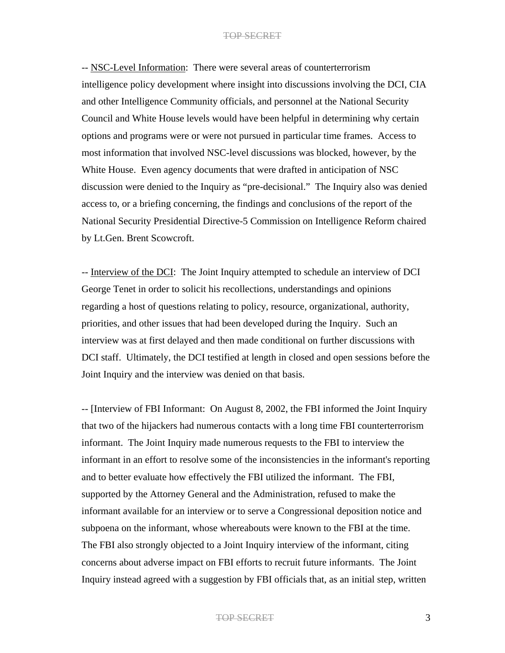-- NSC-Level Information: There were several areas of counterterrorism intelligence policy development where insight into discussions involving the DCI, CIA and other Intelligence Community officials, and personnel at the National Security Council and White House levels would have been helpful in determining why certain options and programs were or were not pursued in particular time frames. Access to most information that involved NSC-level discussions was blocked, however, by the White House. Even agency documents that were drafted in anticipation of NSC discussion were denied to the Inquiry as "pre-decisional." The Inquiry also was denied access to, or a briefing concerning, the findings and conclusions of the report of the National Security Presidential Directive-5 Commission on Intelligence Reform chaired by Lt.Gen. Brent Scowcroft.

-- Interview of the DCI: The Joint Inquiry attempted to schedule an interview of DCI George Tenet in order to solicit his recollections, understandings and opinions regarding a host of questions relating to policy, resource, organizational, authority, priorities, and other issues that had been developed during the Inquiry. Such an interview was at first delayed and then made conditional on further discussions with DCI staff. Ultimately, the DCI testified at length in closed and open sessions before the Joint Inquiry and the interview was denied on that basis.

-- [Interview of FBI Informant: On August 8, 2002, the FBI informed the Joint Inquiry that two of the hijackers had numerous contacts with a long time FBI counterterrorism informant. The Joint Inquiry made numerous requests to the FBI to interview the informant in an effort to resolve some of the inconsistencies in the informant's reporting and to better evaluate how effectively the FBI utilized the informant. The FBI, supported by the Attorney General and the Administration, refused to make the informant available for an interview or to serve a Congressional deposition notice and subpoena on the informant, whose whereabouts were known to the FBI at the time. The FBI also strongly objected to a Joint Inquiry interview of the informant, citing concerns about adverse impact on FBI efforts to recruit future informants. The Joint Inquiry instead agreed with a suggestion by FBI officials that, as an initial step, written

TOP SECRET 3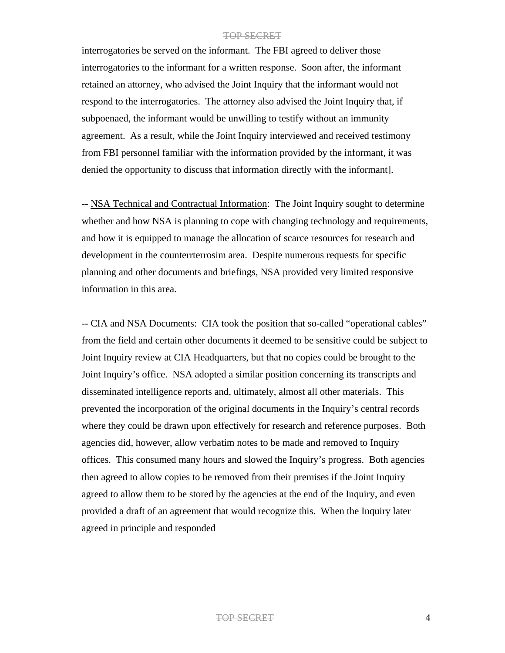interrogatories be served on the informant. The FBI agreed to deliver those interrogatories to the informant for a written response. Soon after, the informant retained an attorney, who advised the Joint Inquiry that the informant would not respond to the interrogatories. The attorney also advised the Joint Inquiry that, if subpoenaed, the informant would be unwilling to testify without an immunity agreement. As a result, while the Joint Inquiry interviewed and received testimony from FBI personnel familiar with the information provided by the informant, it was denied the opportunity to discuss that information directly with the informant].

-- NSA Technical and Contractual Information: The Joint Inquiry sought to determine whether and how NSA is planning to cope with changing technology and requirements, and how it is equipped to manage the allocation of scarce resources for research and development in the counterrterrosim area. Despite numerous requests for specific planning and other documents and briefings, NSA provided very limited responsive information in this area.

-- CIA and NSA Documents: CIA took the position that so-called "operational cables" from the field and certain other documents it deemed to be sensitive could be subject to Joint Inquiry review at CIA Headquarters, but that no copies could be brought to the Joint Inquiry's office. NSA adopted a similar position concerning its transcripts and disseminated intelligence reports and, ultimately, almost all other materials. This prevented the incorporation of the original documents in the Inquiry's central records where they could be drawn upon effectively for research and reference purposes. Both agencies did, however, allow verbatim notes to be made and removed to Inquiry offices. This consumed many hours and slowed the Inquiry's progress. Both agencies then agreed to allow copies to be removed from their premises if the Joint Inquiry agreed to allow them to be stored by the agencies at the end of the Inquiry, and even provided a draft of an agreement that would recognize this. When the Inquiry later agreed in principle and responded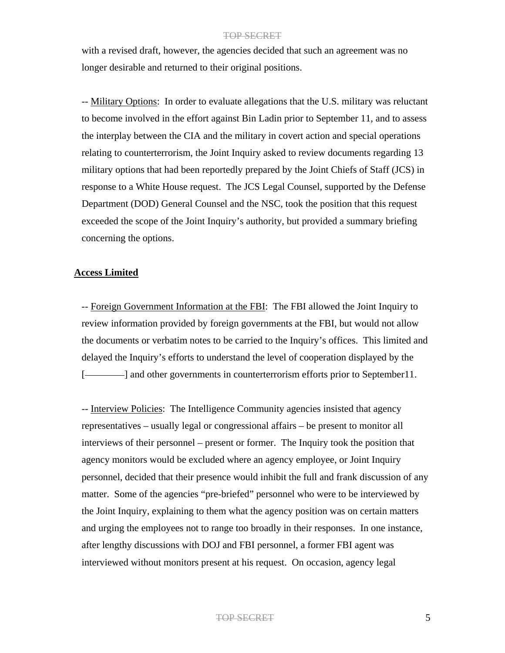with a revised draft, however, the agencies decided that such an agreement was no longer desirable and returned to their original positions.

-- Military Options: In order to evaluate allegations that the U.S. military was reluctant to become involved in the effort against Bin Ladin prior to September 11, and to assess the interplay between the CIA and the military in covert action and special operations relating to counterterrorism, the Joint Inquiry asked to review documents regarding 13 military options that had been reportedly prepared by the Joint Chiefs of Staff (JCS) in response to a White House request. The JCS Legal Counsel, supported by the Defense Department (DOD) General Counsel and the NSC, took the position that this request exceeded the scope of the Joint Inquiry's authority, but provided a summary briefing concerning the options.

#### **Access Limited**

-- Foreign Government Information at the FBI: The FBI allowed the Joint Inquiry to review information provided by foreign governments at the FBI, but would not allow the documents or verbatim notes to be carried to the Inquiry's offices. This limited and delayed the Inquiry's efforts to understand the level of cooperation displayed by the [- and other governments in counterterrorism efforts prior to September 11.

-- Interview Policies: The Intelligence Community agencies insisted that agency representatives – usually legal or congressional affairs – be present to monitor all interviews of their personnel – present or former. The Inquiry took the position that agency monitors would be excluded where an agency employee, or Joint Inquiry personnel, decided that their presence would inhibit the full and frank discussion of any matter. Some of the agencies "pre-briefed" personnel who were to be interviewed by the Joint Inquiry, explaining to them what the agency position was on certain matters and urging the employees not to range too broadly in their responses. In one instance, after lengthy discussions with DOJ and FBI personnel, a former FBI agent was interviewed without monitors present at his request. On occasion, agency legal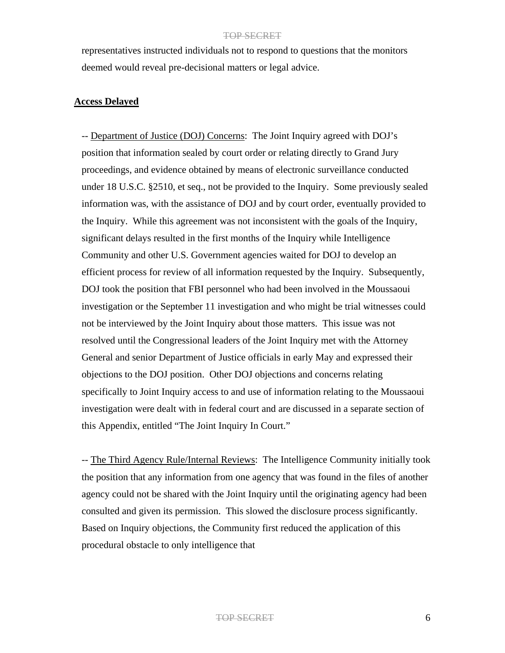representatives instructed individuals not to respond to questions that the monitors deemed would reveal pre-decisional matters or legal advice.

## **Access Delayed**

-- Department of Justice (DOJ) Concerns: The Joint Inquiry agreed with DOJ's position that information sealed by court order or relating directly to Grand Jury proceedings, and evidence obtained by means of electronic surveillance conducted under 18 U.S.C. §2510, et seq., not be provided to the Inquiry. Some previously sealed information was, with the assistance of DOJ and by court order, eventually provided to the Inquiry. While this agreement was not inconsistent with the goals of the Inquiry, significant delays resulted in the first months of the Inquiry while Intelligence Community and other U.S. Government agencies waited for DOJ to develop an efficient process for review of all information requested by the Inquiry. Subsequently, DOJ took the position that FBI personnel who had been involved in the Moussaoui investigation or the September 11 investigation and who might be trial witnesses could not be interviewed by the Joint Inquiry about those matters. This issue was not resolved until the Congressional leaders of the Joint Inquiry met with the Attorney General and senior Department of Justice officials in early May and expressed their objections to the DOJ position. Other DOJ objections and concerns relating specifically to Joint Inquiry access to and use of information relating to the Moussaoui investigation were dealt with in federal court and are discussed in a separate section of this Appendix, entitled "The Joint Inquiry In Court."

-- The Third Agency Rule/Internal Reviews: The Intelligence Community initially took the position that any information from one agency that was found in the files of another agency could not be shared with the Joint Inquiry until the originating agency had been consulted and given its permission. This slowed the disclosure process significantly. Based on Inquiry objections, the Community first reduced the application of this procedural obstacle to only intelligence that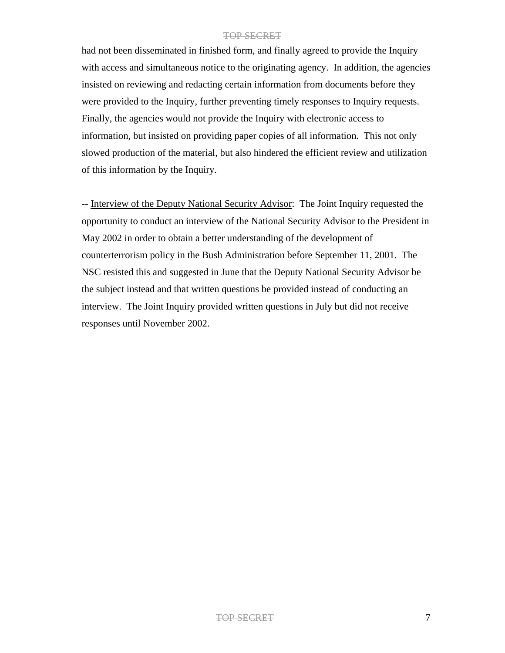had not been disseminated in finished form, and finally agreed to provide the Inquiry with access and simultaneous notice to the originating agency. In addition, the agencies insisted on reviewing and redacting certain information from documents before they were provided to the Inquiry, further preventing timely responses to Inquiry requests. Finally, the agencies would not provide the Inquiry with electronic access to information, but insisted on providing paper copies of all information. This not only slowed production of the material, but also hindered the efficient review and utilization of this information by the Inquiry.

-- Interview of the Deputy National Security Advisor: The Joint Inquiry requested the opportunity to conduct an interview of the National Security Advisor to the President in May 2002 in order to obtain a better understanding of the development of counterterrorism policy in the Bush Administration before September 11, 2001. The NSC resisted this and suggested in June that the Deputy National Security Advisor be the subject instead and that written questions be provided instead of conducting an interview. The Joint Inquiry provided written questions in July but did not receive responses until November 2002.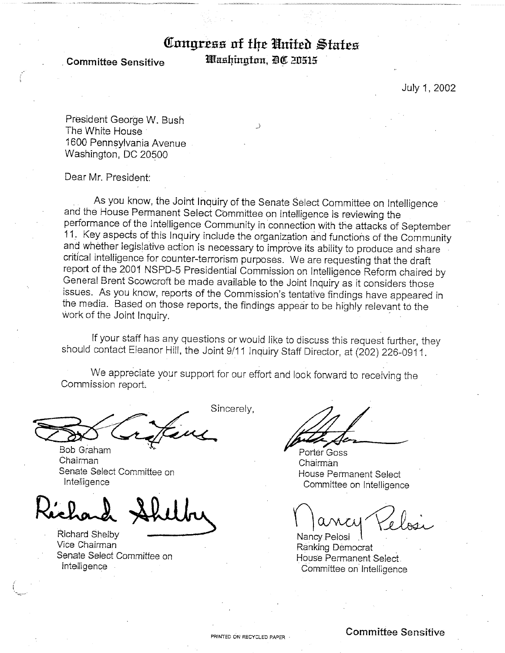# Congress of the United States

**Committee Sensitive** 

Washington, DC 20515

July 1, 2002

President George W. Bush The White House 1600 Pennsylvania Avenue Washington, DC 20500

Dear Mr. President:

As you know, the Joint Inquiry of the Senate Select Committee on Intelligence and the House Permanent Select Committee on Intelligence is reviewing the performance of the Intelligence Community in connection with the attacks of September 11. Key aspects of this Inquiry include the organization and functions of the Community and whether legislative action is necessary to improve its ability to produce and share critical intelligence for counter-terrorism purposes. We are requesting that the draft report of the 2001 NSPD-5 Presidential Commission on Intelligence Reform chaired by General Brent Scowcroft be made available to the Joint Inquiry as it considers those issues. As you know, reports of the Commission's tentative findings have appeared in the media. Based on those reports, the findings appear to be highly relevant to the work of the Joint Inquiry.

If your staff has any questions or would like to discuss this request further, they should contact Eleanor Hill, the Joint 9/11 Inquiry Staff Director, at (202) 226-0911.

We appreciate your support for our effort and look forward to receiving the Commission report.

Bob Graham Chairman Senate Select Committee on Intelligence

Richard Shelby Vice Chairman Senate Select Committee on Intelligence

Sincerely,

Porter Goss Chairman House Permanent Select Committee on Intelligence

Nancy Pelosi Ranking Democrat House Permanent Select. Committee on Intelligence

**Committee Sensitive**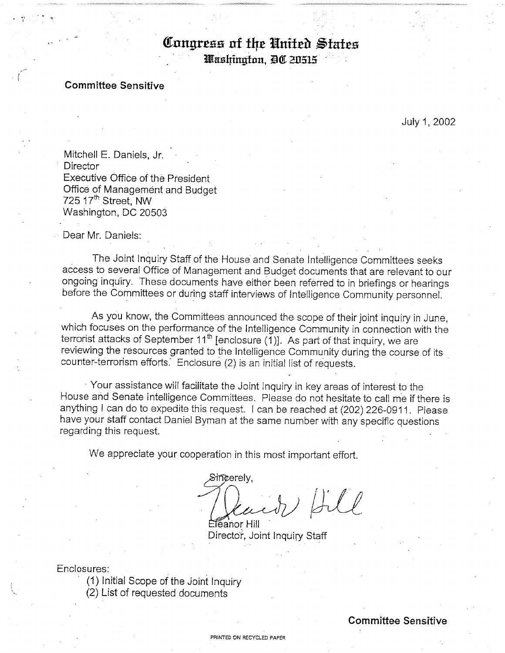# Congress of the United States

Washington, DC 20515

## **Committee Sensitive**

July 1, 2002

Mitchell E. Daniels, Jr. Director Executive Office of the President Office of Management and Budget 725.17<sup>th</sup> Street, NW Washington, DC 20503

Dear Mr. Daniels:

The Joint Inquiry Staff of the House and Senate Intelligence Committees seeks access to several Office of Management and Budget documents that are relevant to our ongoing inquiry. These documents have either been referred to in briefings or hearings before the Committees or during staff interviews of Intelligence Community personnel.

As you know, the Committees announced the scope of their joint inquiry in June, which focuses on the performance of the Intelligence Community in connection with the terrorist attacks of September 11<sup>th</sup> [enclosure (1)]. As part of that inquiry, we are reviewing the resources granted to the Intelligence Community during the course of its counter-terrorism efforts. Enclosure (2) is an initial list of requests.

Your assistance will facilitate the Joint Inquiry in key areas of interest to the House and Senate Intelligence Committees. Please do not hesitate to call me if there is anything I can do to expedite this request. I can be reached at (202) 226-0911. Please have your staff contact Daniel Byman at the same number with any specific questions regarding this request.

We appreciate your cooperation in this most important effort.

Sincerelv.  $\mathcal{L}$ 

Eleanor Hill Director, Joint Inquiry Staff

Enclosures:

(1) Initial Scope of the Joint Inquiry (2) List of requested documents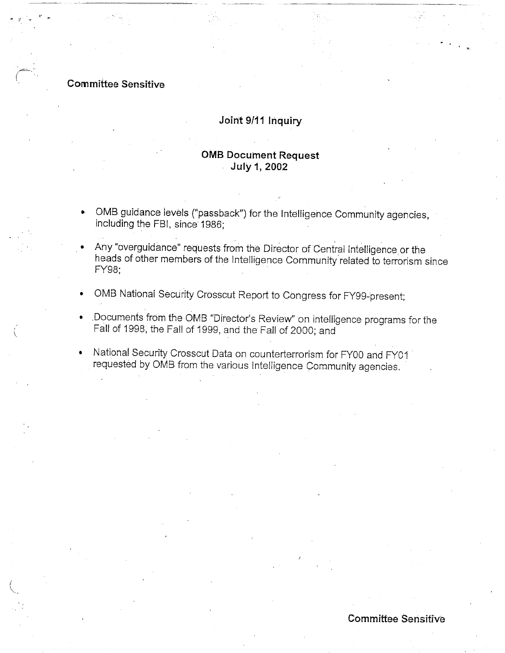# **Committee Sensitive**

# Joint 9/11 Inquiry

# **OMB Document Request July 1, 2002**

- OMB guidance levels ("passback") for the Intelligence Community agencies, including the FBI, since 1986:
- Any "overguidance" requests from the Director of Central Intelligence or the heads of other members of the Intelligence Community related to terrorism since FY98:
- OMB National Security Crosscut Report to Congress for FY99-present;
- Documents from the OMB "Director's Review" on intelligence programs for the Fall of 1998, the Fall of 1999, and the Fall of 2000; and
- National Security Crosscut Data on counterterrorism for FY00 and FY01 requested by OMB from the various Intelligence Community agencies.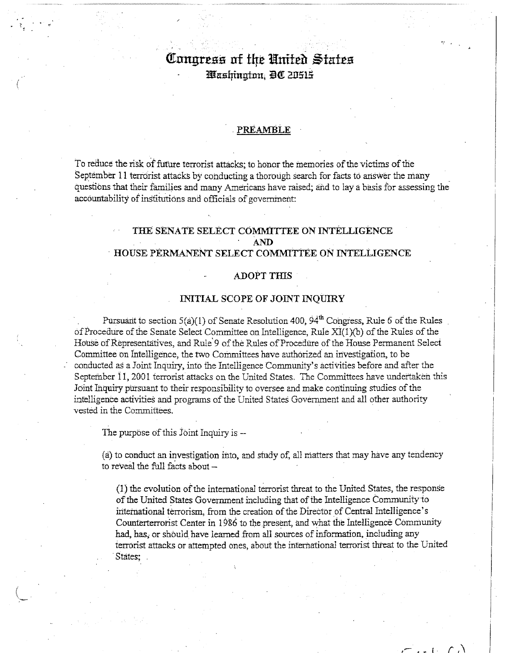# Congress of the United States Washington, DC 20515

#### PREAMBLE

To reduce the risk of future terrorist attacks; to honor the memories of the victims of the September 11 terrorist attacks by conducting a thorough search for facts to answer the many questions that their families and many Americans have raised; and to lay a basis for assessing the accountability of institutions and officials of government:

## THE SENATE SELECT COMMITTEE ON INTELLIGENCE **AND** HOUSE PERMANENT SELECT COMMITTEE ON INTELLIGENCE

#### **ADOPT THIS**

#### INITIAL SCOPE OF JOINT INQUIRY

Pursuant to section  $5(a)(1)$  of Senate Resolution 400,  $94<sup>th</sup>$  Congress, Rule 6 of the Rules of Procedure of the Senate Select Committee on Intelligence, Rule XI(1)(b) of the Rules of the House of Representatives, and Rule'9 of the Rules of Procedure of the House Permanent Select Committee on Intelligence, the two Committees have authorized an investigation, to be conducted as a Joint Inquiry, into the Intelligence Community's activities before and after the September 11, 2001 terrorist attacks on the United States. The Committees have undertaken this Joint Inquiry pursuant to their responsibility to oversee and make continuing studies of the intelligence activities and programs of the United States Government and all other authority vested in the Committees.

The purpose of this Joint Inquiry is --

(a) to conduct an investigation into, and study of, all matters that may have any tendency to reveal the full facts about -

(1) the evolution of the international terrorist threat to the United States, the response of the United States Government including that of the Intelligence Community to international terrorism, from the creation of the Director of Central Intelligence's Counterterrorist Center in 1986 to the present, and what the Intelligence Community had, has, or should have learned from all sources of information, including any terrorist attacks or attempted ones, about the international terrorist threat to the United States;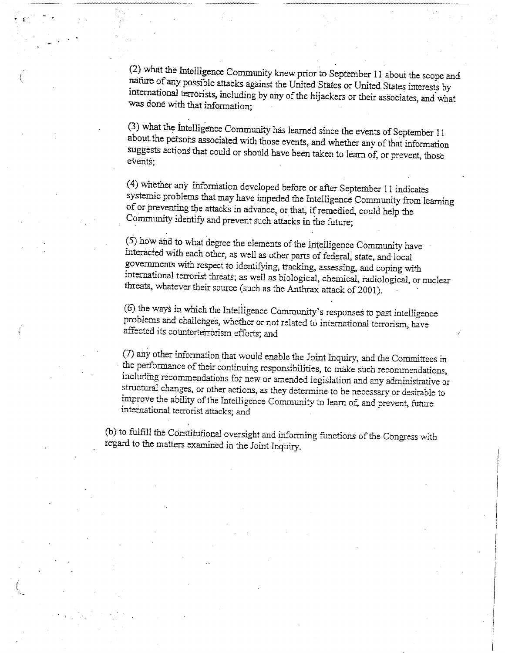(2) what the Intelligence Community knew prior to September 11 about the scope and nature of any possible attacks against the United States or United States interests by international terrorists, including by any of the hijackers or their associates, and what was done with that information;

(3) what the Intelligence Community has learned since the events of September 11 about the persons associated with those events, and whether any of that information suggests actions that could or should have been taken to learn of, or prevent, those events:

(4) whether any information developed before or after September 11 indicates systemic problems that may have impeded the Intelligence Community from learning of or preventing the attacks in advance, or that, if remedied, could help the Community identify and prevent such attacks in the future;

 $(5)$  how and to what degree the elements of the Intelligence Community have interacted with each other, as well as other parts of federal, state, and local governments with respect to identifying, tracking, assessing, and coping with international terrorist threats; as well as biological, chemical, radiological, or nuclear threats, whatever their source (such as the Anthrax attack of 2001).

(6) the ways in which the Intelligence Community's responses to past intelligence problems and challenges, whether or not related to international terrorism, have affected its counterterrorism efforts; and

(7) any other information that would enable the Joint Inquiry, and the Committees in the performance of their continuing responsibilities, to make such recommendations, including recommendations for new or amended legislation and any administrative or structural changes, or other actions, as they determine to be necessary or desirable to improve the ability of the Intelligence Community to learn of, and prevent, future international terrorist attacks; and

(b) to fulfill the Constitutional oversight and informing functions of the Congress with regard to the matters examined in the Joint Inquiry.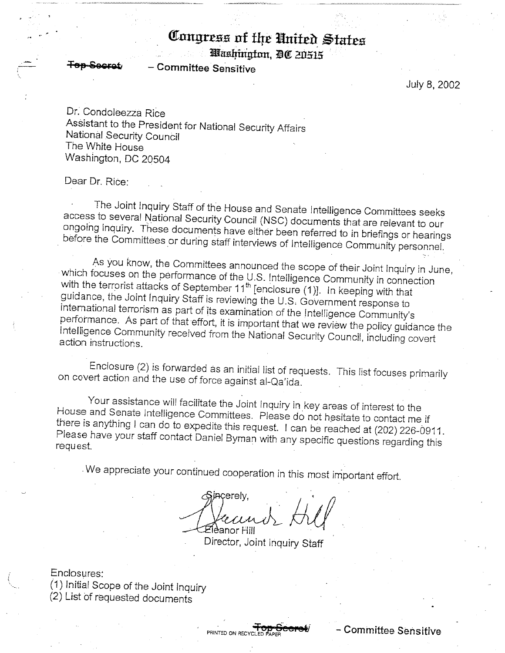# Congress of the United States

Washington, DC 20515

**Committee Sensitive** 

July 8, 2002

Dr. Condoleezza Rice Assistant to the President for National Security Affairs National Security Council The White House Washington, DC 20504

Dear Dr. Rice:

The Joint Inquiry Staff of the House and Senate Intelligence Committees seeks access to several National Security Council (NSC) documents that are relevant to our ongoing inquiry. These documents have either been referred to in briefings or hearings before the Committees or during staff interviews of Intelligence Community personnel.

As you know, the Committees announced the scope of their Joint Inquiry in June, which focuses on the performance of the U.S. Intelligence Community in connection with the terrorist attacks of September 11<sup>th</sup> [enclosure (1)]. In keeping with that guidance, the Joint Inquiry Staff is reviewing the U.S. Government response to international terrorism as part of its examination of the Intelligence Community's performance. As part of that effort, it is important that we review the policy guidance the Intelligence Community received from the National Security Council, including covert action instructions.

Enclosure (2) is forwarded as an initial list of requests. This list focuses primarily on covert action and the use of force against al-Qa'ida.

Your assistance will facilitate the Joint Inquiry in key areas of interest to the House and Senate Intelligence Committees. Please do not hesitate to contact me if there is anything I can do to expedite this request. I can be reached at (202) 226-0911. Please have your staff contact Daniel Byman with any specific questions regarding this request.

We appreciate your continued cooperation in this most important effort.

incerelv. !leanor Hill

Director, Joint Inquiry Staff

Enclosures: (1) Initial Scope of the Joint Inquiry (2) List of requested documents

– Committee Sensitive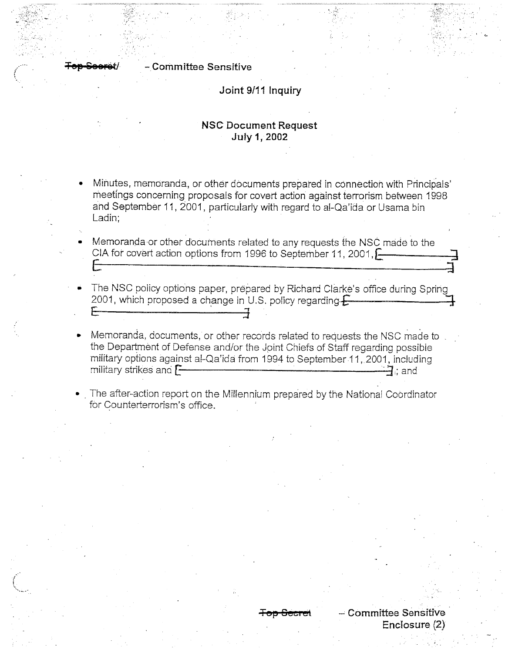# - Committee Sensitive

## Joint 9/11 Inquiry

# **NSC Document Request July 1, 2002**

- Minutes, memoranda, or other documents prepared in connection with Principals' meetings concerning proposals for covert action against terrorism between 1998 and September 11, 2001, particularly with regard to al-Qa'ida or Usama bin Ladin:
- Memoranda or other documents related to any requests the NSC made to the CIA for covert action options from 1996 to September 11, 2001,
- The NSC policy options paper, prepared by Richard Clarke's office during Spring 2001, which proposed a change in U.S. policy regarding  $f$
- Memoranda, documents, or other records related to requests the NSC made to the Department of Defense and/or the Joint Chiefs of Staff regarding possible military options against al-Qa'ida from 1994 to September 11, 2001, including military strikes and **[-** $-7$  : and
- The after-action report on the Millennium prepared by the National Coordinator for Counterterrorism's office.

- Committee Sensitive

Enclosure  $(2)$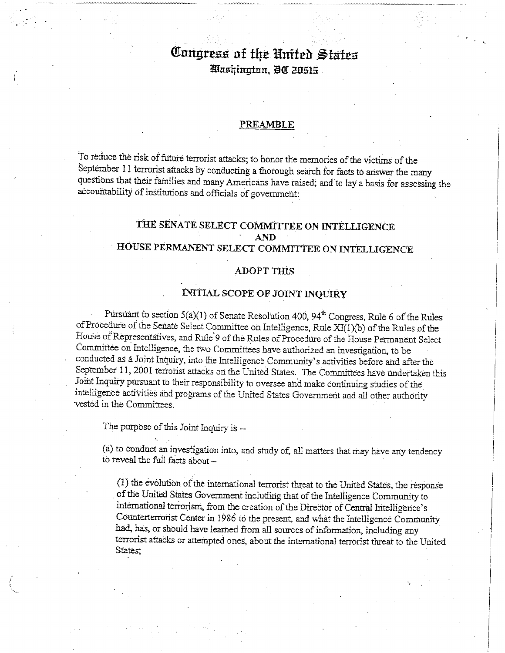# Congress of the United States Washington, DC 20515.

#### PREAMBLE

To reduce the risk of future terrorist attacks; to honor the memories of the victims of the September 11 terrorist attacks by conducting a thorough search for facts to answer the many questions that their families and many Americans have raised; and to lay a basis for assessing the accountability of institutions and officials of government:

# THE SENATE SELECT COMMITTEE ON INTELLIGENCE **AND** HOUSE PERMANENT SELECT COMMITTEE ON INTELLIGENCE

## **ADOPT THIS**

# **INITIAL SCOPE OF JOINT INQUIRY**

Pursuant to section 5(a)(1) of Senate Resolution 400, 94<sup>th</sup> Congress, Rule 6 of the Rules of Procedure of the Senate Select Committee on Intelligence, Rule XI(1)(b) of the Rules of the House of Representatives, and Rule 9 of the Rules of Procedure of the House Permanent Select Committée on Intelligence, the two Committees have authorized an investigation, to be conducted as a Joint Inquiry, into the Intelligence Community's activities before and after the September 11, 2001 terrorist attacks on the United States. The Committees have undertaken this Joint Inquiry pursuant to their responsibility to oversee and make continuing studies of the intelligence activities and programs of the United States Government and all other authority vested in the Committees.

The purpose of this Joint Inquiry is --

(a) to conduct an investigation into, and study of, all matters that may have any tendency to reveal the full facts about -

(1) the evolution of the international terrorist threat to the United States, the response of the United States Government including that of the Intelligence Community to international terrorism, from the creation of the Director of Central Intelligence's Counterterrorist Center in 1986 to the present, and what the Intelligence Community had, has, or should have learned from all sources of information, including any terrorist attacks or attempted ones, about the international terrorist threat to the United States: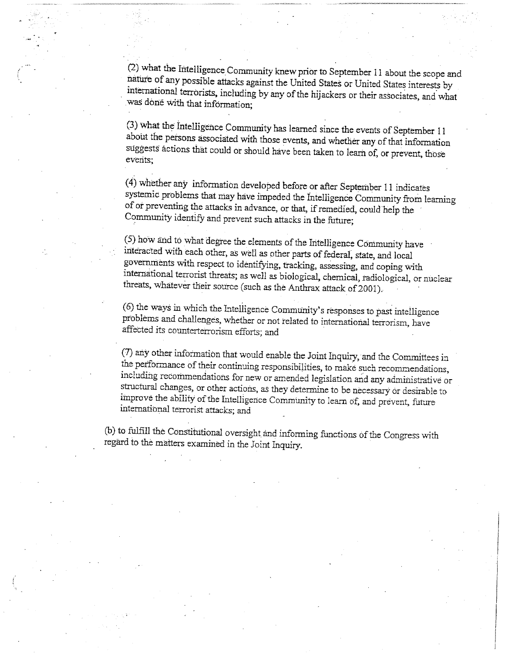(2) what the Intelligence Community knew prior to September 11 about the scope and nature of any possible attacks against the United States or United States interests by international terrorists, including by any of the hijackers or their associates, and what was done with that information;

(3) what the Intelligence Community has learned since the events of September 11 about the persons associated with those events, and whether any of that information suggests actions that could or should have been taken to learn of, or prevent, those events;

(4) whether any information developed before or after September 11 indicates systemic problems that may have impeded the Intelligence Community from learning of or preventing the attacks in advance, or that, if remedied, could help the Community identify and prevent such attacks in the future;

(5) how and to what degree the elements of the Intelligence Community have interacted with each other, as well as other parts of federal, state, and local governments with respect to identifying, tracking, assessing, and coping with international terrorist threats; as well as biological, chemical, radiological, or nuclear threats, whatever their source (such as the Anthrax attack of 2001).

(6) the ways in which the Intelligence Community's responses to past intelligence problems and challenges, whether or not related to international terrorism, have affected its counterterrorism efforts; and

(7) any other information that would enable the Joint Inquiry, and the Committees in the performance of their continuing responsibilities, to make such recommendations, including recommendations for new or amended legislation and any administrative or structural changes, or other actions, as they determine to be necessary or desirable to improve the ability of the Intelligence Community to learn of, and prevent, future international terrorist attacks; and

(b) to fulfill the Constitutional oversight and informing functions of the Congress with regard to the matters examined in the Joint Inquiry.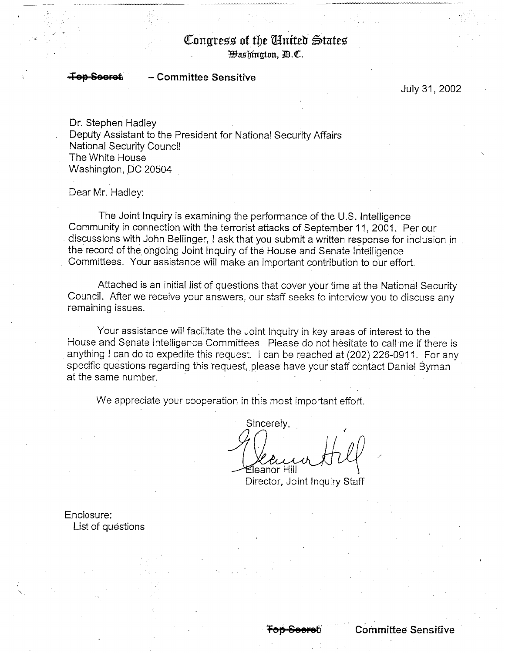# Congress of the Anited States

*Bashington, D.C.* 

#### **Committee Sensitive** Saarat

July 31, 2002

Dr. Stephen Hadley Deputy Assistant to the President for National Security Affairs National Security Council The White House Washington, DC 20504

Dear Mr. Hadley:

The Joint Inquiry is examining the performance of the U.S. Intelligence Community in connection with the terrorist attacks of September 11, 2001. Per our discussions with John Bellinger, I ask that you submit a written response for inclusion in the record of the ongoing Joint Inquiry of the House and Senate Intelligence Committees. Your assistance will make an important contribution to our effort.

Attached is an initial list of questions that cover your time at the National Security Council. After we receive your answers, our staff seeks to interview you to discuss any remaining issues.

Your assistance will facilitate the Joint Inquiry in key areas of interest to the House and Senate Intelligence Committees. Please do not hesitate to call me if there is anything I can do to expedite this request. I can be reached at (202) 226-0911. For any specific questions regarding this request, please have your staff contact Daniel Byman at the same number.

We appreciate your cooperation in this most important effort.

Sincerely. ≦leanor Hill

Director, Joint Inquiry Staff

Enclosure: List of questions

**Committee Sensitive**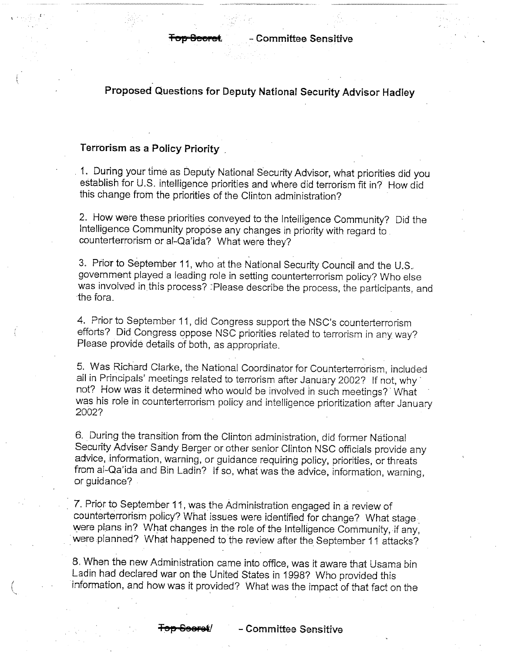Proposed Questions for Deputy National Security Advisor Hadley

#### Terrorism as a Policy Priority

1. During your time as Deputy National Security Advisor, what priorities did you establish for U.S. intelligence priorities and where did terrorism fit in? How did this change from the priorities of the Clinton administration?

2. How were these priorities conveyed to the Intelligence Community? Did the Intelligence Community propose any changes in priority with regard to counterterrorism or al-Qa'ida? What were they?

3. Prior to September 11, who at the National Security Council and the U.S. government played a leading role in setting counterterrorism policy? Who else was involved in this process? : Please describe the process, the participants, and the fora.

4. Prior to September 11, did Congress support the NSC's counterterrorism efforts? Did Congress oppose NSC priorities related to terrorism in any way? Please provide details of both, as appropriate.

5. Was Richard Clarke, the National Coordinator for Counterterrorism, included all in Principals' meetings related to terrorism after January 2002? If not, why not? How was it determined who would be involved in such meetings? What was his role in counterterrorism policy and intelligence prioritization after January 2002?

6. During the transition from the Clinton administration, did former National Security Adviser Sandy Berger or other senior Clinton NSC officials provide any advice, information, warning, or guidance requiring policy, priorities, or threats from al-Qa'ida and Bin Ladin? If so, what was the advice, information, warning, or guidance?

7. Prior to September 11, was the Administration engaged in a review of counterterrorism policy? What issues were identified for change? What stage were plans in? What changes in the role of the Intelligence Community, if any, were planned? What happened to the review after the September 11 attacks?

8. When the new Administration came into office, was it aware that Usama bin Ladin had declared war on the United States in 1998? Who provided this information, and how was it provided? What was the impact of that fact on the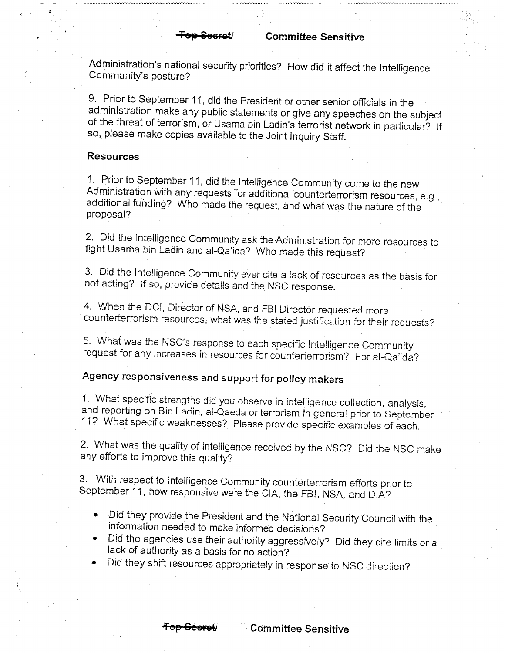Administration's national security priorities? How did it affect the Intelligence Community's posture?

9. Prior to September 11, did the President or other senior officials in the administration make any public statements or give any speeches on the subject of the threat of terrorism, or Usama bin Ladin's terrorist network in particular? If so, please make copies available to the Joint Inquiry Staff.

## **Resources**

1. Prior to September 11, did the Intelligence Community come to the new Administration with any requests for additional counterterrorism resources, e.g., additional funding? Who made the request, and what was the nature of the proposal?

2. Did the Intelligence Community ask the Administration for more resources to fight Usama bin Ladin and al-Qa'ida? Who made this request?

3. Did the Intelligence Community ever cite a lack of resources as the basis for not acting? If so, provide details and the NSC response.

4. When the DCI, Director of NSA, and FBI Director requested more counterterrorism resources, what was the stated justification for their requests?

5. What was the NSC's response to each specific Intelligence Community request for any increases in resources for counterterrorism? For al-Qa'ida?

# Agency responsiveness and support for policy makers

1. What specific strengths did you observe in intelligence collection, analysis, and reporting on Bin Ladin, al-Qaeda or terrorism in general prior to September 11? What specific weaknesses? Please provide specific examples of each.

2. What was the quality of intelligence received by the NSC? Did the NSC make any efforts to improve this quality?

3. With respect to Intelligence Community counterterrorism efforts prior to September 11, how responsive were the CIA, the FBI, NSA, and DIA?

- Did they provide the President and the National Security Council with the information needed to make informed decisions?
- Did the agencies use their authority aggressively? Did they cite limits or a lack of authority as a basis for no action?
- Did they shift resources appropriately in response to NSC direction?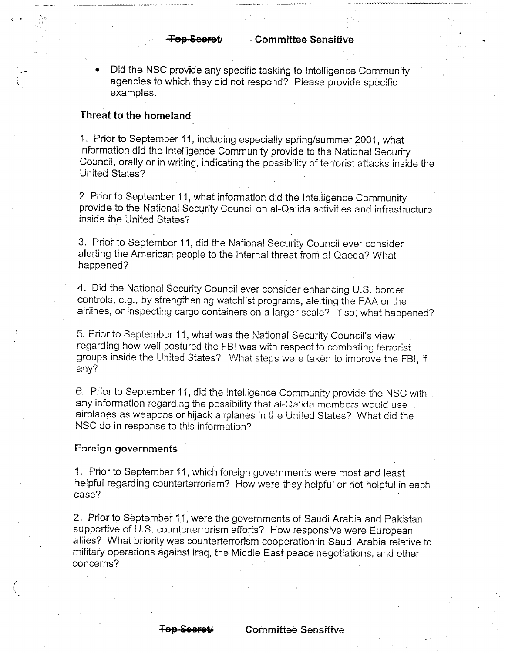Did the NSC provide any specific tasking to Intelligence Community agencies to which they did not respond? Please provide specific examples.

#### Threat to the homeland

1. Prior to September 11, including especially spring/summer 2001, what information did the Intelligence Community provide to the National Security Council, orally or in writing, indicating the possibility of terrorist attacks inside the United States?

2. Prior to September 11, what information did the Intelligence Community provide to the National Security Council on al-Qa'ida activities and infrastructure inside the United States?

3. Prior to September 11, did the National Security Council ever consider alerting the American people to the internal threat from al-Qaeda? What happened?

4. Did the National Security Council ever consider enhancing U.S. border controls, e.g., by strengthening watchlist programs, alerting the FAA or the airlines, or inspecting cargo containers on a larger scale? If so, what happened?

5. Prior to September 11, what was the National Security Council's view regarding how well postured the FBI was with respect to combating terrorist groups inside the United States? What steps were taken to improve the FBI, if  $any?$ 

6. Prior to September 11, did the Intelligence Community provide the NSC with any information regarding the possibility that al-Qa'ida members would use airplanes as weapons or hijack airplanes in the United States? What did the NSC do in response to this information?

## Foreign governments

1. Prior to September 11, which foreign governments were most and least helpful regarding counterterrorism? How were they helpful or not helpful in each case?

2. Prior to September 11, were the governments of Saudi Arabia and Pakistan supportive of U.S. counterterrorism efforts? How responsive were European allies? What priority was counterterrorism cooperation in Saudi Arabia relative to military operations against Iraq, the Middle East peace negotiations, and other concerns?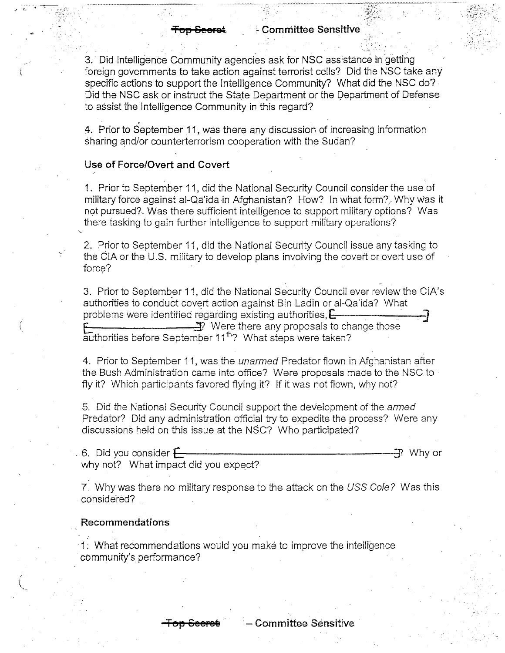3. Did Intelligence Community agencies ask for NSC assistance in getting foreign governments to take action against terrorist cells? Did the NSC take any specific actions to support the Intelligence Community? What did the NSC do? Did the NSC ask or instruct the State Department or the Department of Defense to assist the Intelligence Community in this regard?

4. Prior to September 11, was there any discussion of increasing information sharing and/or counterterrorism cooperation with the Sudan?

## Use of Force/Overt and Covert

1. Prior to September 11, did the National Security Council consider the use of military force against al-Qa'ida in Afghanistan? How? In what form? Why was it not pursued? Was there sufficient intelligence to support military options? Was there tasking to gain further intelligence to support military operations?

2. Prior to September 11, did the National Security Council issue any tasking to the CIA or the U.S. military to develop plans involving the covert or overt use of force?

3. Prior to September 11, did the National Security Council ever review the CIA's authorities to conduct covert action against Bin Ladin or al-Qa'ida? What problems were identified regarding existing authorities,  $E$  $\overbrace{a}$  Were there any proposals to change those authorities before September 11<sup>th</sup>? What steps were taken?

4. Prior to September 11, was the *unarmed* Predator flown in Afghanistan after the Bush Administration came into office? Were proposals made to the NSC to fly it? Which participants favored flying it? If it was not flown, why not?

5. Did the National Security Council support the development of the *armed* Predator? Did any administration official try to expedite the process? Were any discussions held on this issue at the NSC? Who participated?

6. Did you consider  $\leftarrow$ 구 Why or why not? What impact did you expect?

7. Why was there no military response to the attack on the USS Cole? Was this considered?

#### Recommendations

1. What recommendations would you make to improve the intelligence community's performance?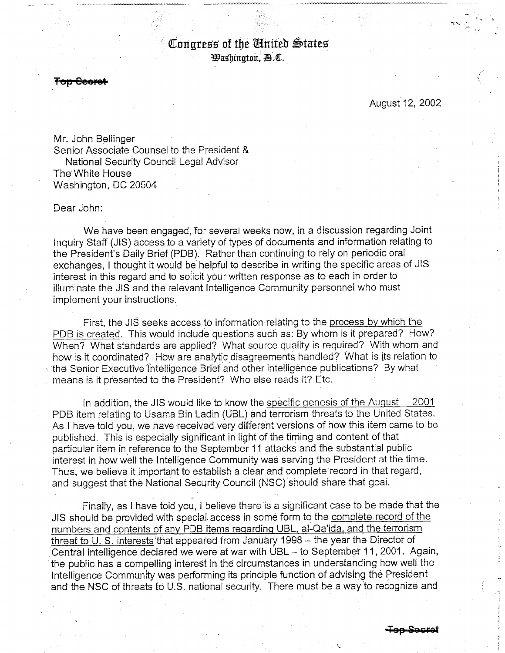# Congress of the United States *Washington, A.C.*

<del>Top Seore</del>

# August 12, 2002

Mr. John Bellinger Senior Associate Counsel to the President & National Security Council Legal Advisor The White House Washington, DC 20504

Dear John:

We have been engaged, for several weeks now, in a discussion regarding Joint Inquiry Staff (JIS) access to a variety of types of documents and information relating to the President's Daily Brief (PDB). Rather than continuing to rely on periodic oral exchanges. I thought it would be helpful to describe in writing the specific areas of JIS interest in this regard and to solicit your written response as to each in order to illuminate the JIS and the relevant Intelligence Community personnel who must implement your instructions.

First, the JIS seeks access to information relating to the process by which the PDB is created. This would include questions such as: By whom is it prepared? How? When? What standards are applied? What source quality is required? With whom and how is it coordinated? How are analytic disagreements handled? What is its relation to the Senior Executive Intelligence Brief and other intelligence publications? By what means is it presented to the President? Who else reads it? Etc.

In addition, the JIS would like to know the specific genesis of the August 2001 PDB item relating to Usama Bin Ladin (UBL) and terrorism threats to the United States. As I have told you, we have received very different versions of how this item came to be published. This is especially significant in light of the timing and content of that particular item in reference to the September 11 attacks and the substantial public interest in how well the Intelligence Community was serving the President at the time. Thus, we believe it important to establish a clear and complete record in that regard, and suggest that the National Security Council (NSC) should share that goal.

Finally, as I have told you, I believe there is a significant case to be made that the JIS should be provided with special access in some form to the complete record of the numbers and contents of any PDB items regarding UBL, al-Qa'ida, and the terrorism threat to U.S. interests that appeared from January 1998 - the year the Director of Central Intelligence declared we were at war with UBL - to September 11, 2001. Again, the public has a compelling interest in the circumstances in understanding how well the Intelligence Community was performing its principle function of advising the President and the NSC of threats to U.S. national security. There must be a way to recognize and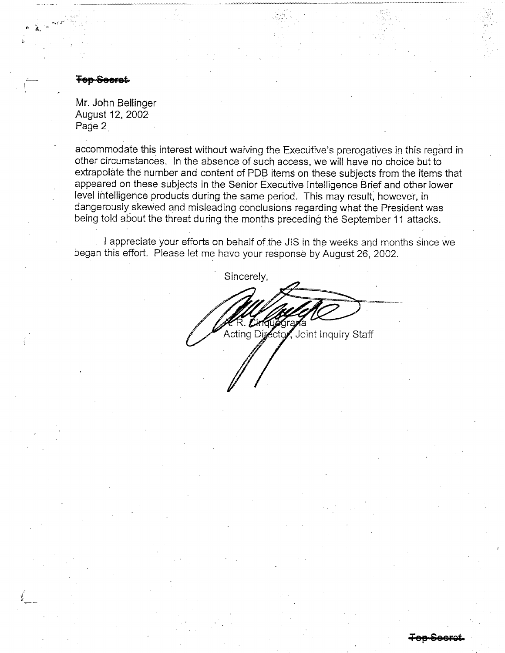#### <del>Ten See</del>ret

Mr. John Bellinger August 12, 2002 Page 2

accommodate this interest without waiving the Executive's prerogatives in this regard in other circumstances. In the absence of such access, we will have no choice but to extrapolate the number and content of PDB items on these subjects from the items that appeared on these subjects in the Senior Executive Intelligence Brief and other lower level intelligence products during the same period. This may result, however, in dangerously skewed and misleading conclusions regarding what the President was being told about the threat during the months preceding the September 11 attacks.

I appreciate your efforts on behalf of the JIS in the weeks and months since we began this effort. Please let me have your response by August 26, 2002.

Sincerely, Acting Director, Joint Inquiry Staff